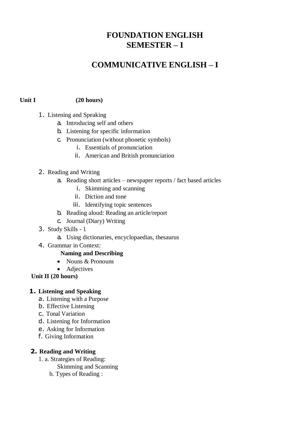# **FOUNDATION ENGLISH SEMESTER – I**

# **COMMUNICATIVE ENGLISH – I**

### **Unit I (20 hours)**

- 1. Listening and Speaking
	- a. Introducing self and others
	- b. Listening for specific information
	- c. Pronunciation (without phonetic symbols)
		- i. Essentials of pronunciation
		- ii. American and British pronunciation
- 2. Reading and Writing
	- a. Reading short articles newspaper reports / fact based articles
		- i. Skimming and scanning
		- ii. Diction and tone
		- iii. Identifying topic sentences
	- b. Reading aloud: Reading an article/report
	- c. Journal (Diary) Writing
- 3. Study Skills 1
	- a. Using dictionaries, encyclopaedias, thesaurus
- 4. Grammar in Context:

# **Naming and Describing**

- Nouns & Pronouns
- Adjectives

 **Unit II (20 hours)**

#### **1. Listening and Speaking**

- a. Listening with a Purpose
- b. Effective Listening
- c. Tonal Variation
- d. Listening for Information
- e. Asking for Information
- f. Giving Information

#### **2. Reading and Writing**

1. a. Strategies of Reading:

Skimming and Scanning

b. Types of Reading :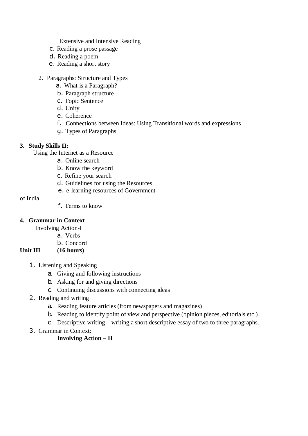Extensive and Intensive Reading

- c. Reading a prose passage
- d. Reading a poem
- e. Reading a short story
- 2. Paragraphs: Structure and Types
	- a. What is a Paragraph?
	- b. Paragraph structure
	- c. Topic Sentence
	- d. Unity
	- e. Coherence
	- f. Connections between Ideas: Using Transitional words and expressions
	- g. Types of Paragraphs

# **3. Study Skills II:**

Using the Internet as a Resource

- a. Online search
- b. Know the keyword
- c. Refine your search
- d. Guidelines for using the Resources
- e. e-learning resources of Government

of India

f. Terms to know

# **4. Grammar in Context**

Involving Action-I

a. Verbs

# b. Concord

# **Unit III (16 hours)**

- 1. Listening and Speaking
	- a. Giving and following instructions
	- b. Asking for and giving directions
	- c. Continuing discussions with connecting ideas
- 2. Reading and writing
	- a. Reading feature articles (from newspapers and magazines)
	- b. Reading to identify point of view and perspective (opinion pieces, editorials etc.)
	- c. Descriptive writing writing a short descriptive essay of two to three paragraphs.
- 3. Grammar in Context:

# **Involving Action – II**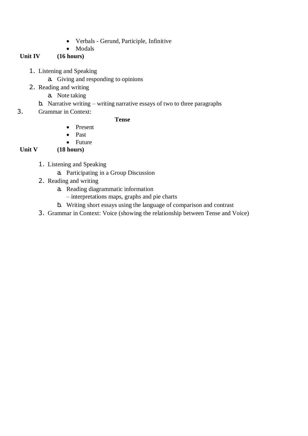- Verbals Gerund, Participle, Infinitive
- Modals

# **Unit IV (16 hours)**

- 1. Listening and Speaking
	- a. Giving and responding to opinions
- 2. Reading and writing
	- a. Note taking
	- b. Narrative writing writing narrative essays of two to three paragraphs
- 3. Grammar in Context:

# **Tense**

- Present
- Past
- Future

# **Unit V (18 hours)**

- 1. Listening and Speaking
	- a. Participating in a Group Discussion
- 2. Reading and writing
	- a. Reading diagrammatic information
		- interpretations maps, graphs and pie charts
	- b. Writing short essays using the language of comparison and contrast
- 3. Grammar in Context: Voice (showing the relationship between Tense and Voice)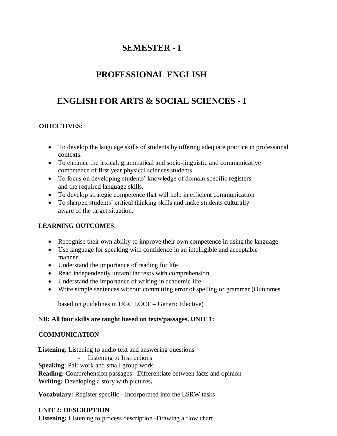# **SEMESTER - I**

# **PROFESSIONAL ENGLISH**

# **ENGLISH FOR ARTS & SOCIAL SCIENCES - I**

# **OBJECTIVES:**

- To develop the language skills of students by offering adequate practice in professional contexts.
- To enhance the lexical, grammatical and socio-linguistic and communicative competence of first year physical sciences students
- To focus on developing students' knowledge of domain specific registers and the required language skills.
- To develop strategic competence that will help in efficient communication
- To sharpen students' critical thinking skills and make students culturally aware of the target situation.

# **LEARNING OUTCOMES**:

- Recognise their own ability to improve their own competence in using the language
- Use language for speaking with confidence in an intelligible and acceptable manner
- Understand the importance of reading for life
- Read independently unfamiliar texts with comprehension
- Understand the importance of writing in academic life
- Write simple sentences without committing error of spelling or grammar (Outcomes

based on guidelines in UGC LOCF – Generic Elective)

# **NB: All four skills are taught based on texts/passages. UNIT 1:**

# **COMMUNICATION**

**Listening**: Listening to audio text and answering questions - Listening to Instructions **Speaking**: Pair work and small group work. **Reading:** Comprehension passages –Differentiate between facts and opinion **Writing:** Developing a story with pictures**.**

**Vocabulary:** Register specific - Incorporated into the LSRW tasks

# **UNIT 2: DESCRIPTION**

**Listening:** Listening to process description.-Drawing a flow chart.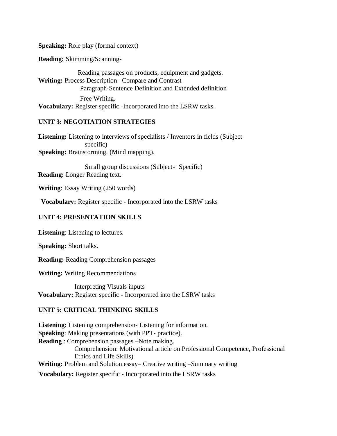#### **Speaking:** Role play (formal context)

**Reading:** Skimming/Scanning-

Reading passages on products, equipment and gadgets. **Writing:** Process Description –Compare and Contrast Paragraph-Sentence Definition and Extended definition Free Writing. **Vocabulary:** Register specific -Incorporated into the LSRW tasks.

#### **UNIT 3: NEGOTIATION STRATEGIES**

**Listening:** Listening to interviews of specialists / Inventors in fields (Subject specific) **Speaking:** Brainstorming. (Mind mapping).

Small group discussions (Subject- Specific) **Reading:** Longer Reading text.

**Writing**: Essay Writing (250 words)

**Vocabulary:** Register specific - Incorporated into the LSRW tasks

#### **UNIT 4: PRESENTATION SKILLS**

**Listening**: Listening to lectures.

**Speaking:** Short talks.

**Reading:** Reading Comprehension passages

**Writing:** Writing Recommendations

Interpreting Visuals inputs **Vocabulary:** Register specific - Incorporated into the LSRW tasks

### **UNIT 5: CRITICAL THINKING SKILLS**

**Listening:** Listening comprehension- Listening for information. **Speaking**: Making presentations (with PPT- practice). **Reading** : Comprehension passages –Note making. Comprehension: Motivational article on Professional Competence, Professional Ethics and Life Skills) **Writing:** Problem and Solution essay– Creative writing –Summary writing  **Vocabulary:** Register specific - Incorporated into the LSRW tasks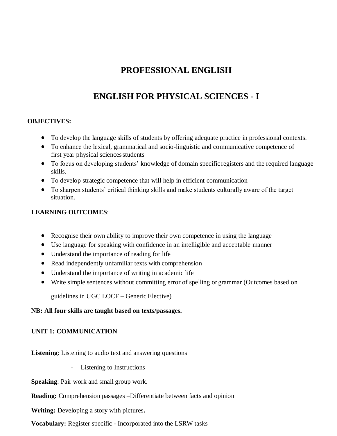# **PROFESSIONAL ENGLISH**

# **ENGLISH FOR PHYSICAL SCIENCES - I**

# **OBJECTIVES:**

- To develop the language skills of students by offering adequate practice in professional contexts.
- To enhance the lexical, grammatical and socio-linguistic and communicative competence of first year physical sciences students
- To focus on developing students' knowledge of domain specific registers and the required language skills.
- To develop strategic competence that will help in efficient communication
- To sharpen students' critical thinking skills and make students culturally aware of the target situation.

### **LEARNING OUTCOMES**:

- Recognise their own ability to improve their own competence in using the language
- Use language for speaking with confidence in an intelligible and acceptable manner
- Understand the importance of reading for life
- Read independently unfamiliar texts with comprehension
- Understand the importance of writing in academic life
- Write simple sentences without committing error of spelling or grammar (Outcomes based on

guidelines in UGC LOCF – Generic Elective)

#### **NB: All four skills are taught based on texts/passages.**

#### **UNIT 1: COMMUNICATION**

**Listening**: Listening to audio text and answering questions

- Listening to Instructions

**Speaking**: Pair work and small group work.

**Reading:** Comprehension passages –Differentiate between facts and opinion

**Writing:** Developing a story with pictures**.**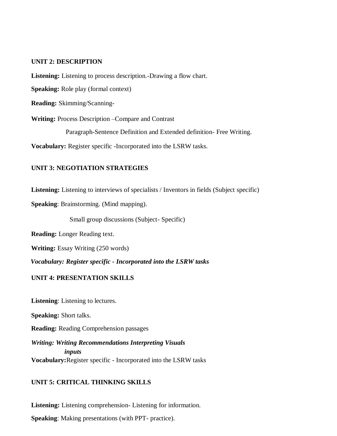#### **UNIT 2: DESCRIPTION**

**Listening:** Listening to process description.-Drawing a flow chart.

**Speaking:** Role play (formal context)

**Reading:** Skimming/Scanning-

**Writing:** Process Description –Compare and Contrast

Paragraph-Sentence Definition and Extended definition- Free Writing.

**Vocabulary:** Register specific -Incorporated into the LSRW tasks.

#### **UNIT 3: NEGOTIATION STRATEGIES**

**Listening:** Listening to interviews of specialists / Inventors in fields (Subject specific)

**Speaking**: Brainstorming. (Mind mapping).

Small group discussions (Subject- Specific)

**Reading:** Longer Reading text.

**Writing:** Essay Writing (250 words)

*Vocabulary: Register specific - Incorporated into the LSRW tasks*

#### **UNIT 4: PRESENTATION SKILLS**

**Listening**: Listening to lectures.

**Speaking:** Short talks.

**Reading:** Reading Comprehension passages

*Writing: Writing Recommendations Interpreting Visuals inputs* **Vocabulary:**Register specific - Incorporated into the LSRW tasks

#### **UNIT 5: CRITICAL THINKING SKILLS**

**Listening:** Listening comprehension- Listening for information. **Speaking**: Making presentations (with PPT- practice).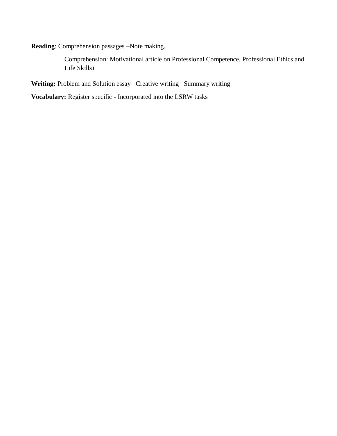**Reading**: Comprehension passages –Note making.

Comprehension: Motivational article on Professional Competence, Professional Ethics and Life Skills)

**Writing:** Problem and Solution essay– Creative writing –Summary writing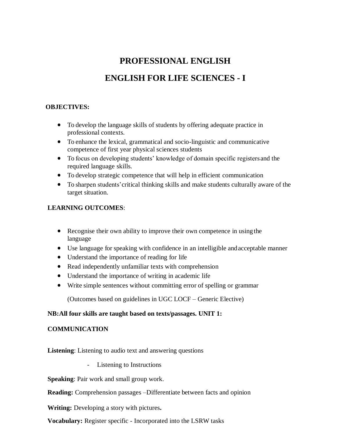# **PROFESSIONAL ENGLISH**

# **ENGLISH FOR LIFE SCIENCES - I**

### **OBJECTIVES:**

- To develop the language skills of students by offering adequate practice in professional contexts.
- To enhance the lexical, grammatical and socio-linguistic and communicative competence of first year physical sciences students
- To focus on developing students' knowledge of domain specific registers and the required language skills.
- To develop strategic competence that will help in efficient communication
- To sharpen students'critical thinking skills and make students culturally aware of the target situation.

# **LEARNING OUTCOMES**:

- Recognise their own ability to improve their own competence in using the language
- Use language for speaking with confidence in an intelligible andacceptable manner
- Understand the importance of reading for life
- Read independently unfamiliar texts with comprehension
- Understand the importance of writing in academic life
- Write simple sentences without committing error of spelling or grammar

(Outcomes based on guidelines in UGC LOCF – Generic Elective)

# **NB:All four skills are taught based on texts/passages. UNIT 1:**

# **COMMUNICATION**

**Listening**: Listening to audio text and answering questions

- Listening to Instructions

**Speaking**: Pair work and small group work.

**Reading:** Comprehension passages –Differentiate between facts and opinion

**Writing:** Developing a story with pictures**.**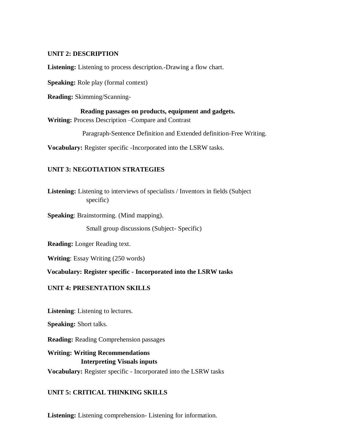#### **UNIT 2: DESCRIPTION**

**Listening:** Listening to process description.-Drawing a flow chart.

**Speaking:** Role play (formal context)

**Reading:** Skimming/Scanning-

**Reading passages on products, equipment and gadgets. Writing:** Process Description –Compare and Contrast

Paragraph-Sentence Definition and Extended definition-Free Writing.

**Vocabulary:** Register specific -Incorporated into the LSRW tasks.

# **UNIT 3: NEGOTIATION STRATEGIES**

**Listening:** Listening to interviews of specialists / Inventors in fields (Subject specific)

**Speaking**: Brainstorming. (Mind mapping).

Small group discussions (Subject- Specific)

**Reading:** Longer Reading text.

**Writing**: Essay Writing (250 words)

**Vocabulary: Register specific - Incorporated into the LSRW tasks**

#### **UNIT 4: PRESENTATION SKILLS**

**Listening**: Listening to lectures.

**Speaking:** Short talks.

**Reading:** Reading Comprehension passages

**Writing: Writing Recommendations Interpreting Visuals inputs Vocabulary:** Register specific - Incorporated into the LSRW tasks

# **UNIT 5: CRITICAL THINKING SKILLS**

**Listening:** Listening comprehension- Listening for information.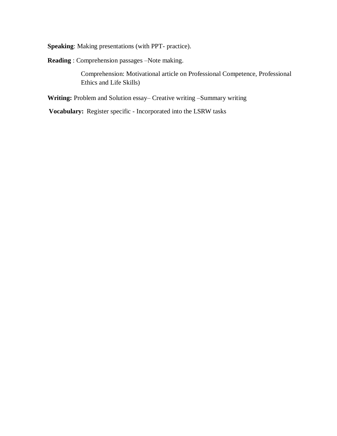**Speaking**: Making presentations (with PPT- practice).

**Reading** : Comprehension passages –Note making.

Comprehension: Motivational article on Professional Competence, Professional Ethics and Life Skills)

**Writing:** Problem and Solution essay– Creative writing –Summary writing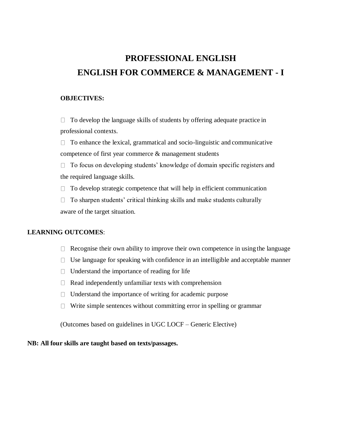# **PROFESSIONAL ENGLISH ENGLISH FOR COMMERCE & MANAGEMENT - I**

#### **OBJECTIVES:**

 $\Box$  To develop the language skills of students by offering adequate practice in professional contexts.

 $\Box$  To enhance the lexical, grammatical and socio-linguistic and communicative competence of first year commerce & management students

 $\Box$  To focus on developing students' knowledge of domain specific registers and the required language skills.

 $\Box$  To develop strategic competence that will help in efficient communication

 $\Box$  To sharpen students' critical thinking skills and make students culturally aware of the target situation.

#### **LEARNING OUTCOMES**:

- $\Box$  Recognise their own ability to improve their own competence in using the language
- $\Box$  Use language for speaking with confidence in an intelligible and acceptable manner
- $\Box$  Understand the importance of reading for life
- $\Box$  Read independently unfamiliar texts with comprehension
- $\Box$  Understand the importance of writing for academic purpose
- $\Box$  Write simple sentences without committing error in spelling or grammar

(Outcomes based on guidelines in UGC LOCF – Generic Elective)

#### **NB: All four skills are taught based on texts/passages.**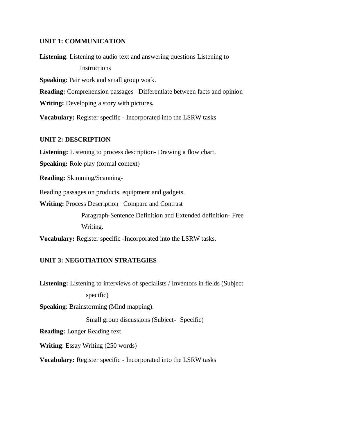#### **UNIT 1: COMMUNICATION**

**Listening**: Listening to audio text and answering questions Listening to **Instructions Speaking**: Pair work and small group work. **Reading:** Comprehension passages –Differentiate between facts and opinion **Writing:** Developing a story with pictures**. Vocabulary:** Register specific - Incorporated into the LSRW tasks

### **UNIT 2: DESCRIPTION**

**Listening:** Listening to process description- Drawing a flow chart.

**Speaking:** Role play (formal context)

**Reading:** Skimming/Scanning-

Reading passages on products, equipment and gadgets.

**Writing:** Process Description –Compare and Contrast

Paragraph-Sentence Definition and Extended definition- Free Writing.

**Vocabulary:** Register specific -Incorporated into the LSRW tasks.

# **UNIT 3: NEGOTIATION STRATEGIES**

**Listening:** Listening to interviews of specialists / Inventors in fields (Subject specific)

**Speaking**: Brainstorming (Mind mapping).

Small group discussions (Subject- Specific)

**Reading:** Longer Reading text.

**Writing**: Essay Writing (250 words)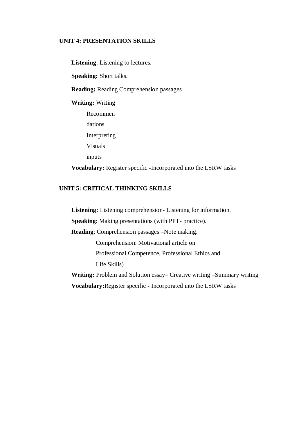### **UNIT 4: PRESENTATION SKILLS**

**Listening**: Listening to lectures. **Speaking:** Short talks. **Reading:** Reading Comprehension passages **Writing:** Writing Recommen dations Interpreting Visuals inputs **Vocabulary:** Register specific -Incorporated into the LSRW tasks

# **UNIT 5: CRITICAL THINKING SKILLS**

**Listening:** Listening comprehension- Listening for information. **Speaking**: Making presentations (with PPT- practice). **Reading**: Comprehension passages –Note making. Comprehension: Motivational article on Professional Competence, Professional Ethics and Life Skills) **Writing:** Problem and Solution essay– Creative writing –Summary writing **Vocabulary:**Register specific - Incorporated into the LSRW tasks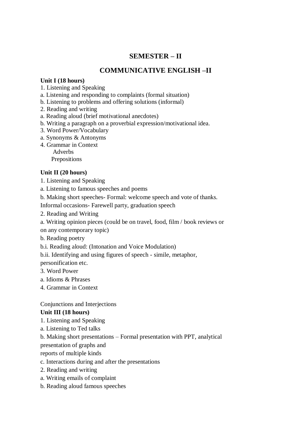# **SEMESTER – II**

# **COMMUNICATIVE ENGLISH –II**

# **Unit I (18 hours)**

- 1. Listening and Speaking
- a. Listening and responding to complaints (formal situation)
- b. Listening to problems and offering solutions (informal)
- 2. Reading and writing
- a. Reading aloud (brief motivational anecdotes)
- b. Writing a paragraph on a proverbial expression/motivational idea.
- 3. Word Power/Vocabulary
- a. Synonyms & Antonyms
- 4. Grammar in Context
	- Adverbs Prepositions

# **Unit II (20 hours)**

- 1. Listening and Speaking
- a. Listening to famous speeches and poems
- b. Making short speeches- Formal: welcome speech and vote of thanks.
- Informal occasions- Farewell party, graduation speech
- 2. Reading and Writing
- a. Writing opinion pieces (could be on travel, food, film / book reviews or on any contemporary topic)
- b. Reading poetry
- b.i. Reading aloud: (Intonation and Voice Modulation)
- b.ii. Identifying and using figures of speech simile, metaphor,

personification etc.

- 3. Word Power
- a. Idioms & Phrases
- 4. Grammar in Context

# Conjunctions and Interjections

# **Unit III (18 hours)**

- 1. Listening and Speaking
- a. Listening to Ted talks
- b. Making short presentations Formal presentation with PPT, analytical
- presentation of graphs and
- reports of multiple kinds
- c. Interactions during and after the presentations
- 2. Reading and writing
- a. Writing emails of complaint
- b. Reading aloud famous speeches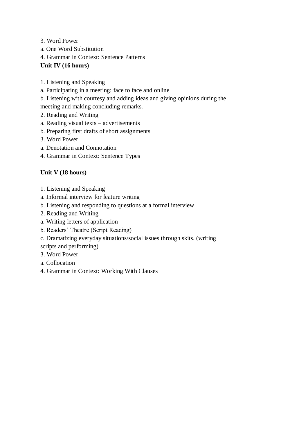- 3. Word Power
- a. One Word Substitution
- 4. Grammar in Context: Sentence Patterns
- **Unit IV (16 hours)**
- 1. Listening and Speaking
- a. Participating in a meeting: face to face and online
- b. Listening with courtesy and adding ideas and giving opinions during the
- meeting and making concluding remarks.
- 2. Reading and Writing
- a. Reading visual texts advertisements
- b. Preparing first drafts of short assignments
- 3. Word Power
- a. Denotation and Connotation
- 4. Grammar in Context: Sentence Types

# **Unit V (18 hours)**

- 1. Listening and Speaking
- a. Informal interview for feature writing
- b. Listening and responding to questions at a formal interview
- 2. Reading and Writing
- a. Writing letters of application
- b. Readers' Theatre (Script Reading)
- c. Dramatizing everyday situations/social issues through skits. (writing

scripts and performing)

- 3. Word Power
- a. Collocation
- 4. Grammar in Context: Working With Clauses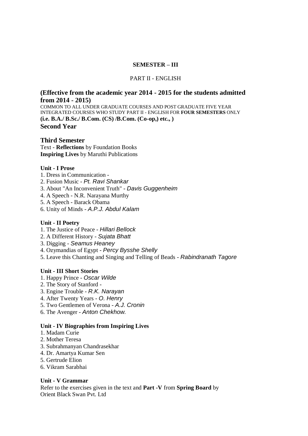#### **SEMESTER – III**

#### PART II - ENGLISH

### **(Effective from the academic year 2014 - 2015 for the students admitted from 2014 - 2015)**

COMMON TO ALL UNDER GRADUATE COURSES AND POST GRADUATE FIVE YEAR INTEGRATED COURSES WHO STUDY PART II - ENGLISH FOR **FOUR SEMESTERS** ONLY **(i.e. B.A./ B.Sc./ B.Com. (CS) /B.Com. (Co-op,) etc., ) Second Year**

#### **Third Semester**

Text - **Reflections** by Foundation Books **Inspiring Lives** by Maruthi Publications

#### **Unit - I Prose**

- 1. Dress in Communication -
- 2. Fusion Music *Pt. Ravi Shankar*
- 3. About "An Inconvenient Truth" *Davis Guggenheim*
- 4. A Speech N.R. Narayana Murthy
- 5. A Speech Barack Obama
- 6. Unity of Minds *A.P.J. Abdul Kalam*

#### **Unit - II Poetry**

- 1. The Justice of Peace *Hillari Bellock*
- 2. A Different History *Sujata Bhatt*
- 3. Digging *Seamus Heaney*
- 4. Ozymandias of Egypt *Percy Bysshe Shelly*
- 5. Leave this Chanting and Singing and Telling of Beads *Rabindranath Tagore*

#### **Unit - III Short Stories**

- 1. Happy Prince *Oscar Wilde*
- 2. The Story of Stanford -
- 3. Engine Trouble *R.K. Narayan*
- 4. After Twenty Years *O. Henry*
- 5. Two Gentlemen of Verona *A.J. Cronin*
- 6. The Avenger *Anton Chekhow.*

#### **Unit - IV Biographies from Inspiring Lives**

- 1. Madam Curie
- 2. Mother Teresa
- 3. Subrahmanyan Chandrasekhar
- 4. Dr. Amartya Kumar Sen
- 5. Gertrude Elion
- 6. Vikram Sarabhai

#### **Unit - V Grammar**

Refer to the exercises given in the text and **Part -V** from **Spring Board** by Orient Black Swan Pvt. Ltd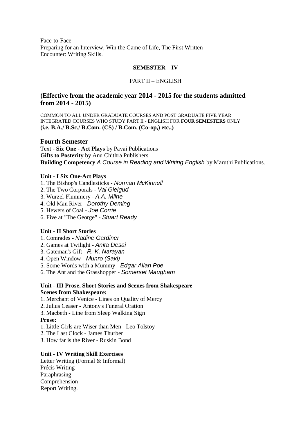Face-to-Face Preparing for an Interview, Win the Game of Life, The First Written Encounter: Writing Skills.

#### **SEMESTER – IV**

#### PART II – ENGLISH

### **(Effective from the academic year 2014 - 2015 for the students admitted from 2014 - 2015)**

COMMON TO ALL UNDER GRADUATE COURSES AND POST GRADUATE FIVE YEAR INTEGRATED COURSES WHO STUDY PART II - ENGLISH FOR **FOUR SEMESTERS** ONLY **(i.e. B.A./ B.Sc./ B.Com. (CS) / B.Com. (Co-op,) etc.,)**

#### **Fourth Semester**

Text - **Six One - Act Plays** by Pavai Publications **Gifts to Posterity** by Anu Chithra Publishers. **Building Competency** *A Course in Reading and Writing English* by Maruthi Publications.

#### **Unit - I Six One-Act Plays**

- 1. The Bishop's Candlesticks *Norman McKinnell*
- 2. The Two Corporals *Val Gielgud*
- 3. Wurzel-Flummery *A.A. Milne*
- 4. Old Man River *Dorothy Deming*
- 5. Hewers of Coal *Joe Corrie*
- 6. Five at "The George" *Stuart Ready*

#### **Unit - II Short Stories**

- 1. Comrades *Nadine Gardiner*
- 2. Games at Twilight *Anita Desai*
- 3. Gateman's Gift *R. K. Narayan*
- 4. Open Window *Munro (Saki)*
- 5. Some Words with a Mummy *Edgar Allan Poe*
- 6. The Ant and the Grasshopper *Somerset Maugham*

#### **Unit - III Prose, Short Stories and Scenes from Shakespeare Scenes from Shakespeare:**

- 1. Merchant of Venice Lines on Quality of Mercy
- 2. Julius Ceaser Antony's Funeral Oration
- 3. Macbeth Line from Sleep Walking Sign

#### **Prose:**

- 1. Little Girls are Wiser than Men Leo Tolstoy
- 2. The Last Clock James Thurber
- 3. How far is the River Ruskin Bond

#### **Unit - IV Writing Skill Exercises**

Letter Writing (Formal & Informal) Précis Writing Paraphrasing Comprehension Report Writing.